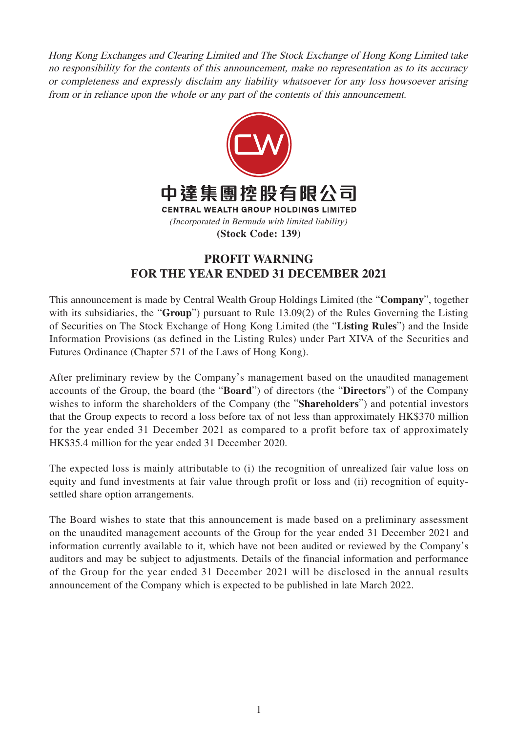Hong Kong Exchanges and Clearing Limited and The Stock Exchange of Hong Kong Limited take no responsibility for the contents of this announcement, make no representation as to its accuracy or completeness and expressly disclaim any liability whatsoever for any loss howsoever arising from or in reliance upon the whole or any part of the contents of this announcement.



## **PROFIT WARNING FOR THE YEAR ENDED 31 DECEMBER 2021**

This announcement is made by Central Wealth Group Holdings Limited (the "**Company**", together with its subsidiaries, the "**Group**") pursuant to Rule 13.09(2) of the Rules Governing the Listing of Securities on The Stock Exchange of Hong Kong Limited (the "**Listing Rules**") and the Inside Information Provisions (as defined in the Listing Rules) under Part XIVA of the Securities and Futures Ordinance (Chapter 571 of the Laws of Hong Kong).

After preliminary review by the Company's management based on the unaudited management accounts of the Group, the board (the "**Board**") of directors (the "**Directors**") of the Company wishes to inform the shareholders of the Company (the "**Shareholders**") and potential investors that the Group expects to record a loss before tax of not less than approximately HK\$370 million for the year ended 31 December 2021 as compared to a profit before tax of approximately HK\$35.4 million for the year ended 31 December 2020.

The expected loss is mainly attributable to (i) the recognition of unrealized fair value loss on equity and fund investments at fair value through profit or loss and (ii) recognition of equitysettled share option arrangements.

The Board wishes to state that this announcement is made based on a preliminary assessment on the unaudited management accounts of the Group for the year ended 31 December 2021 and information currently available to it, which have not been audited or reviewed by the Company's auditors and may be subject to adjustments. Details of the financial information and performance of the Group for the year ended 31 December 2021 will be disclosed in the annual results announcement of the Company which is expected to be published in late March 2022.